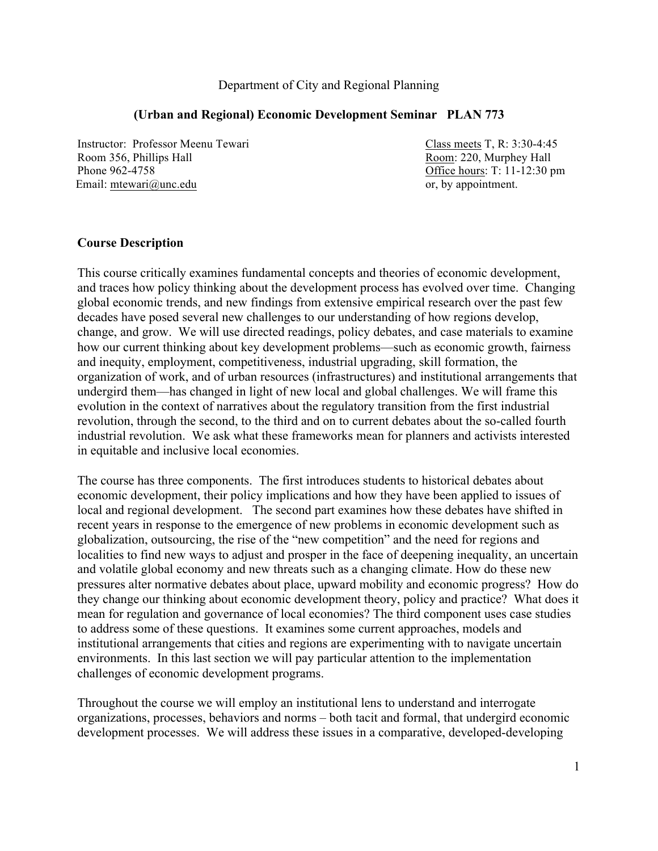#### Department of City and Regional Planning

#### **(Urban and Regional) Economic Development Seminar PLAN 773**

Instructor: Professor Meenu Tewari Class meets T, R: 3:30-4:45 Room 356, Phillips Hall **Room: 220, Murphey Hall** Room: 220, Murphey Hall Phone 962-4758 **Office hours: T: 11-12:30 pm** Email: mtewari@unc.edu or, by appointment.

#### **Course Description**

This course critically examines fundamental concepts and theories of economic development, and traces how policy thinking about the development process has evolved over time. Changing global economic trends, and new findings from extensive empirical research over the past few decades have posed several new challenges to our understanding of how regions develop, change, and grow. We will use directed readings, policy debates, and case materials to examine how our current thinking about key development problems—such as economic growth, fairness and inequity, employment, competitiveness, industrial upgrading, skill formation, the organization of work, and of urban resources (infrastructures) and institutional arrangements that undergird them—has changed in light of new local and global challenges. We will frame this evolution in the context of narratives about the regulatory transition from the first industrial revolution, through the second, to the third and on to current debates about the so-called fourth industrial revolution. We ask what these frameworks mean for planners and activists interested in equitable and inclusive local economies.

The course has three components. The first introduces students to historical debates about economic development, their policy implications and how they have been applied to issues of local and regional development. The second part examines how these debates have shifted in recent years in response to the emergence of new problems in economic development such as globalization, outsourcing, the rise of the "new competition" and the need for regions and localities to find new ways to adjust and prosper in the face of deepening inequality, an uncertain and volatile global economy and new threats such as a changing climate. How do these new pressures alter normative debates about place, upward mobility and economic progress? How do they change our thinking about economic development theory, policy and practice? What does it mean for regulation and governance of local economies? The third component uses case studies to address some of these questions. It examines some current approaches, models and institutional arrangements that cities and regions are experimenting with to navigate uncertain environments. In this last section we will pay particular attention to the implementation challenges of economic development programs.

Throughout the course we will employ an institutional lens to understand and interrogate organizations, processes, behaviors and norms – both tacit and formal, that undergird economic development processes. We will address these issues in a comparative, developed-developing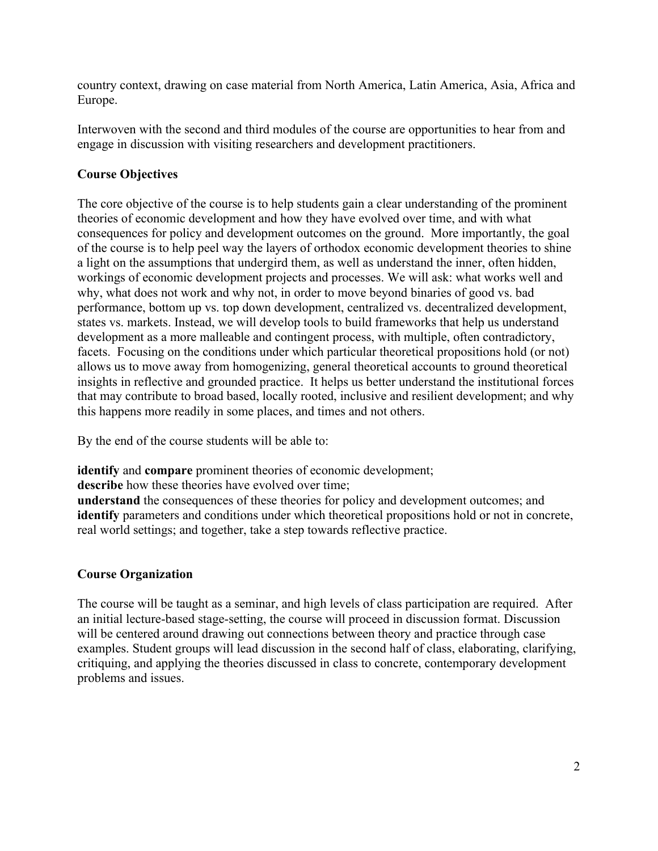country context, drawing on case material from North America, Latin America, Asia, Africa and Europe.

Interwoven with the second and third modules of the course are opportunities to hear from and engage in discussion with visiting researchers and development practitioners.

## **Course Objectives**

The core objective of the course is to help students gain a clear understanding of the prominent theories of economic development and how they have evolved over time, and with what consequences for policy and development outcomes on the ground. More importantly, the goal of the course is to help peel way the layers of orthodox economic development theories to shine a light on the assumptions that undergird them, as well as understand the inner, often hidden, workings of economic development projects and processes. We will ask: what works well and why, what does not work and why not, in order to move beyond binaries of good vs. bad performance, bottom up vs. top down development, centralized vs. decentralized development, states vs. markets. Instead, we will develop tools to build frameworks that help us understand development as a more malleable and contingent process, with multiple, often contradictory, facets. Focusing on the conditions under which particular theoretical propositions hold (or not) allows us to move away from homogenizing, general theoretical accounts to ground theoretical insights in reflective and grounded practice. It helps us better understand the institutional forces that may contribute to broad based, locally rooted, inclusive and resilient development; and why this happens more readily in some places, and times and not others.

By the end of the course students will be able to:

**identify** and **compare** prominent theories of economic development;

describe how these theories have evolved over time;

**understand** the consequences of these theories for policy and development outcomes; and **identify** parameters and conditions under which theoretical propositions hold or not in concrete, real world settings; and together, take a step towards reflective practice.

## **Course Organization**

The course will be taught as a seminar, and high levels of class participation are required. After an initial lecture-based stage-setting, the course will proceed in discussion format. Discussion will be centered around drawing out connections between theory and practice through case examples. Student groups will lead discussion in the second half of class, elaborating, clarifying, critiquing, and applying the theories discussed in class to concrete, contemporary development problems and issues.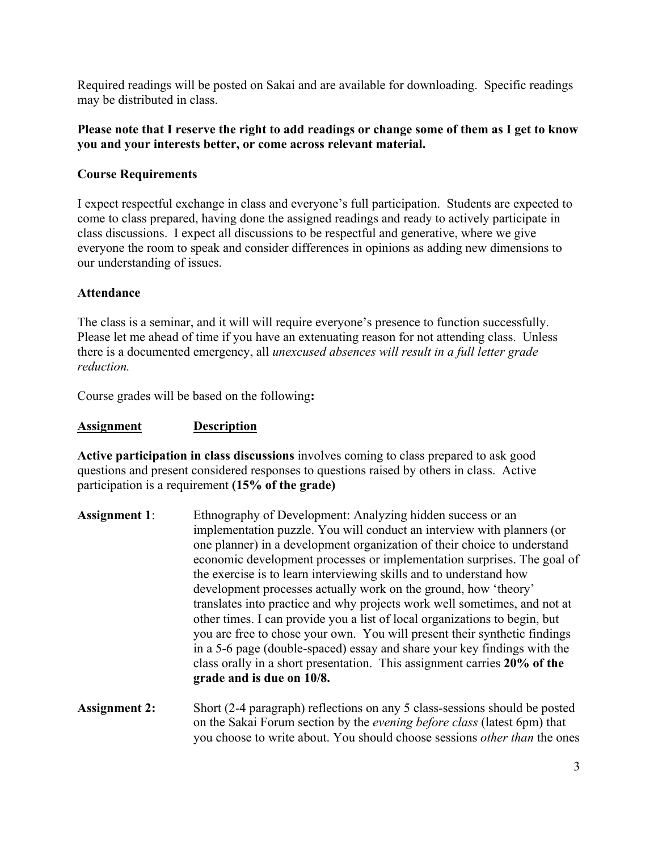Required readings will be posted on Sakai and are available for downloading. Specific readings may be distributed in class.

### **Please note that I reserve the right to add readings or change some of them as I get to know you and your interests better, or come across relevant material.**

## **Course Requirements**

I expect respectful exchange in class and everyone's full participation. Students are expected to come to class prepared, having done the assigned readings and ready to actively participate in class discussions. I expect all discussions to be respectful and generative, where we give everyone the room to speak and consider differences in opinions as adding new dimensions to our understanding of issues.

## **Attendance**

The class is a seminar, and it will will require everyone's presence to function successfully. Please let me ahead of time if you have an extenuating reason for not attending class. Unless there is a documented emergency, all *unexcused absences will result in a full letter grade reduction.*

Course grades will be based on the following**:**

### **Assignment Description**

**Active participation in class discussions** involves coming to class prepared to ask good questions and present considered responses to questions raised by others in class. Active participation is a requirement **(15% of the grade)**

- **Assignment 1**: Ethnography of Development: Analyzing hidden success or an implementation puzzle. You will conduct an interview with planners (or one planner) in a development organization of their choice to understand economic development processes or implementation surprises. The goal of the exercise is to learn interviewing skills and to understand how development processes actually work on the ground, how 'theory' translates into practice and why projects work well sometimes, and not at other times. I can provide you a list of local organizations to begin, but you are free to chose your own. You will present their synthetic findings in a 5-6 page (double-spaced) essay and share your key findings with the class orally in a short presentation. This assignment carries **20% of the grade and is due on 10/8.**
- Assignment 2: Short (2-4 paragraph) reflections on any 5 class-sessions should be posted on the Sakai Forum section by the *evening before class* (latest 6pm) that you choose to write about. You should choose sessions *other than* the ones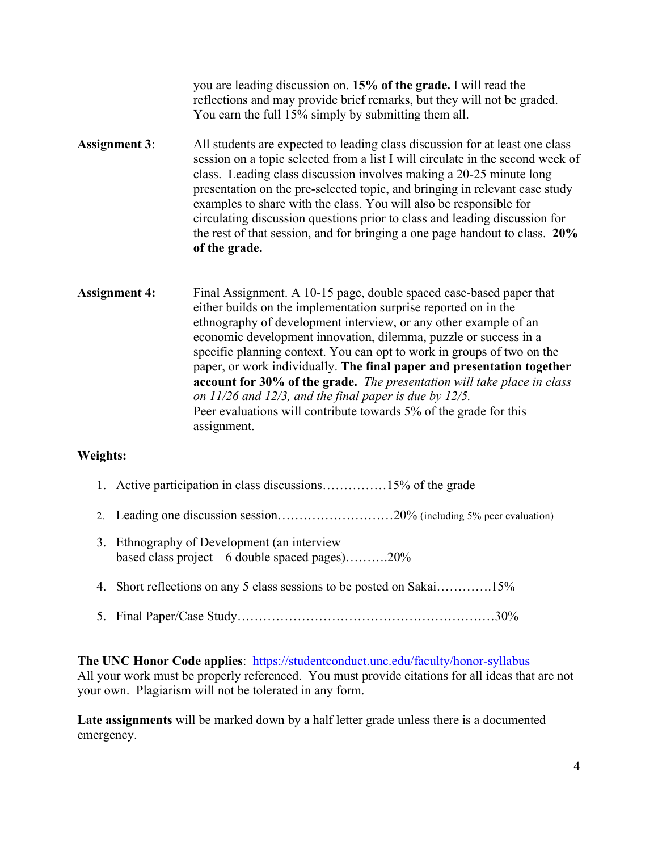you are leading discussion on. **15% of the grade.** I will read the reflections and may provide brief remarks, but they will not be graded. You earn the full 15% simply by submitting them all.

- **Assignment 3**: All students are expected to leading class discussion for at least one class session on a topic selected from a list I will circulate in the second week of class. Leading class discussion involves making a 20-25 minute long presentation on the pre-selected topic, and bringing in relevant case study examples to share with the class. You will also be responsible for circulating discussion questions prior to class and leading discussion for the rest of that session, and for bringing a one page handout to class. **20% of the grade.**
- Assignment 4: Final Assignment. A 10-15 page, double spaced case-based paper that either builds on the implementation surprise reported on in the ethnography of development interview, or any other example of an economic development innovation, dilemma, puzzle or success in a specific planning context. You can opt to work in groups of two on the paper, or work individually. **The final paper and presentation together account for 30% of the grade.** *The presentation will take place in class on 11/26 and 12/3, and the final paper is due by 12/5.* Peer evaluations will contribute towards 5% of the grade for this assignment.

## **Weights:**

- 1. Active participation in class discussions……………15% of the grade
- 2. Leading one discussion session………………………20% (including 5% peer evaluation)
- 3. Ethnography of Development (an interview based class project – 6 double spaced pages)..........20%
- 4. Short reflections on any 5 class sessions to be posted on Sakai………….15%
- 5. Final Paper/Case Study……………………………………………………30%

## **The UNC Honor Code applies**: https://studentconduct.unc.edu/faculty/honor-syllabus All your work must be properly referenced. You must provide citations for all ideas that are not your own. Plagiarism will not be tolerated in any form.

**Late assignments** will be marked down by a half letter grade unless there is a documented emergency.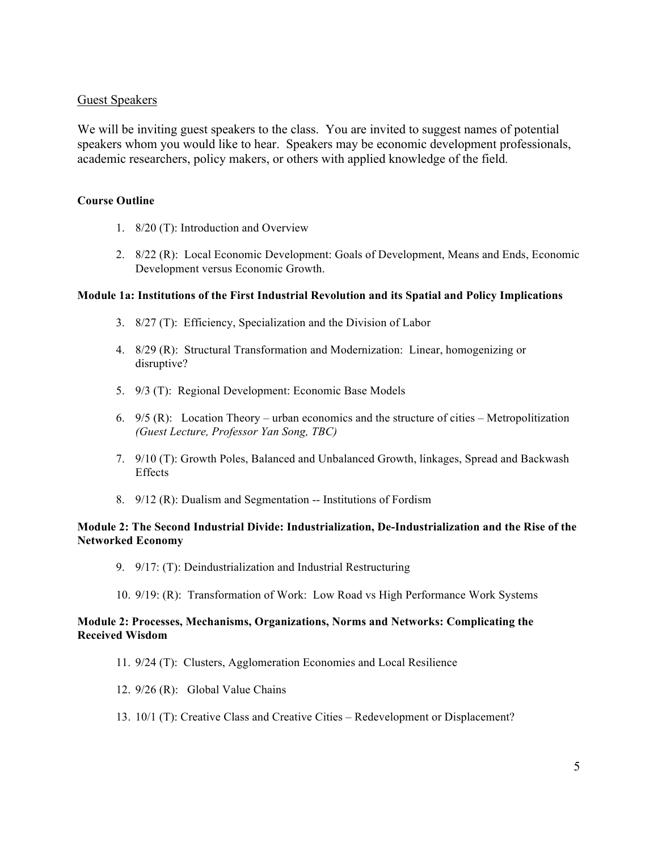#### Guest Speakers

We will be inviting guest speakers to the class. You are invited to suggest names of potential speakers whom you would like to hear. Speakers may be economic development professionals, academic researchers, policy makers, or others with applied knowledge of the field.

#### **Course Outline**

- 1. 8/20 (T): Introduction and Overview
- 2. 8/22 (R): Local Economic Development: Goals of Development, Means and Ends, Economic Development versus Economic Growth.

#### **Module 1a: Institutions of the First Industrial Revolution and its Spatial and Policy Implications**

- 3. 8/27 (T): Efficiency, Specialization and the Division of Labor
- 4. 8/29 (R): Structural Transformation and Modernization: Linear, homogenizing or disruptive?
- 5. 9/3 (T): Regional Development: Economic Base Models
- 6. 9/5 (R): Location Theory urban economics and the structure of cities Metropolitization *(Guest Lecture, Professor Yan Song, TBC)*
- 7. 9/10 (T): Growth Poles, Balanced and Unbalanced Growth, linkages, Spread and Backwash **Effects**
- 8. 9/12 (R): Dualism and Segmentation -- Institutions of Fordism

#### **Module 2: The Second Industrial Divide: Industrialization, De-Industrialization and the Rise of the Networked Economy**

- 9. 9/17: (T): Deindustrialization and Industrial Restructuring
- 10. 9/19: (R): Transformation of Work: Low Road vs High Performance Work Systems

#### **Module 2: Processes, Mechanisms, Organizations, Norms and Networks: Complicating the Received Wisdom**

- 11. 9/24 (T): Clusters, Agglomeration Economies and Local Resilience
- 12. 9/26 (R): Global Value Chains
- 13. 10/1 (T): Creative Class and Creative Cities Redevelopment or Displacement?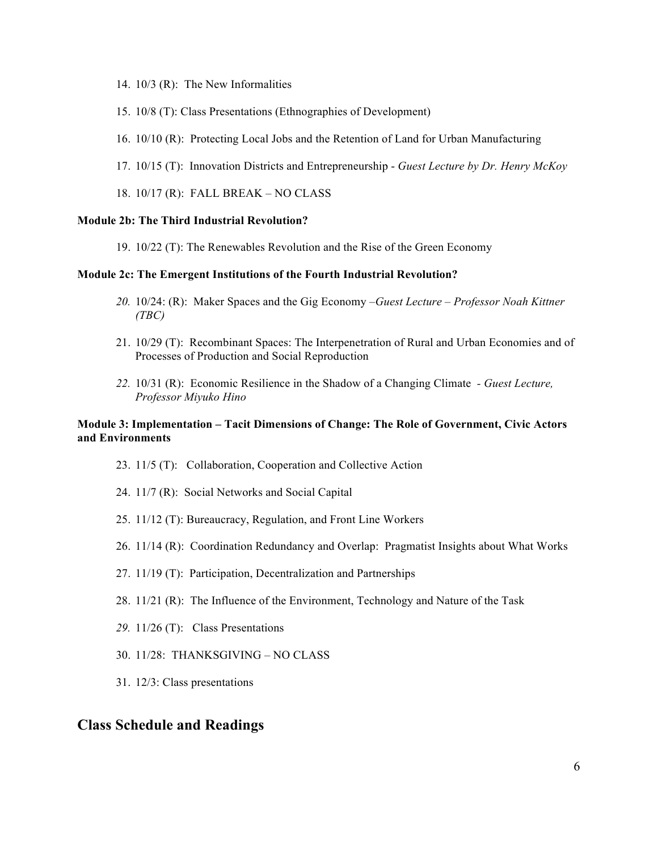- 14. 10/3 (R): The New Informalities
- 15. 10/8 (T): Class Presentations (Ethnographies of Development)
- 16. 10/10 (R): Protecting Local Jobs and the Retention of Land for Urban Manufacturing
- 17. 10/15 (T): Innovation Districts and Entrepreneurship *Guest Lecture by Dr. Henry McKoy*
- 18. 10/17 (R): FALL BREAK NO CLASS

#### **Module 2b: The Third Industrial Revolution?**

19. 10/22 (T): The Renewables Revolution and the Rise of the Green Economy

#### **Module 2c: The Emergent Institutions of the Fourth Industrial Revolution?**

- *20.* 10/24: (R): Maker Spaces and the Gig Economy –*Guest Lecture – Professor Noah Kittner (TBC)*
- 21. 10/29 (T): Recombinant Spaces: The Interpenetration of Rural and Urban Economies and of Processes of Production and Social Reproduction
- *22.* 10/31 (R): Economic Resilience in the Shadow of a Changing Climate *- Guest Lecture, Professor Miyuko Hino*

#### **Module 3: Implementation – Tacit Dimensions of Change: The Role of Government, Civic Actors and Environments**

- 23. 11/5 (T): Collaboration, Cooperation and Collective Action
- 24. 11/7 (R): Social Networks and Social Capital
- 25. 11/12 (T): Bureaucracy, Regulation, and Front Line Workers
- 26. 11/14 (R): Coordination Redundancy and Overlap: Pragmatist Insights about What Works
- 27. 11/19 (T): Participation, Decentralization and Partnerships
- 28. 11/21 (R): The Influence of the Environment, Technology and Nature of the Task
- *29.* 11/26 (T): Class Presentations
- 30. 11/28: THANKSGIVING NO CLASS
- 31. 12/3: Class presentations

#### **Class Schedule and Readings**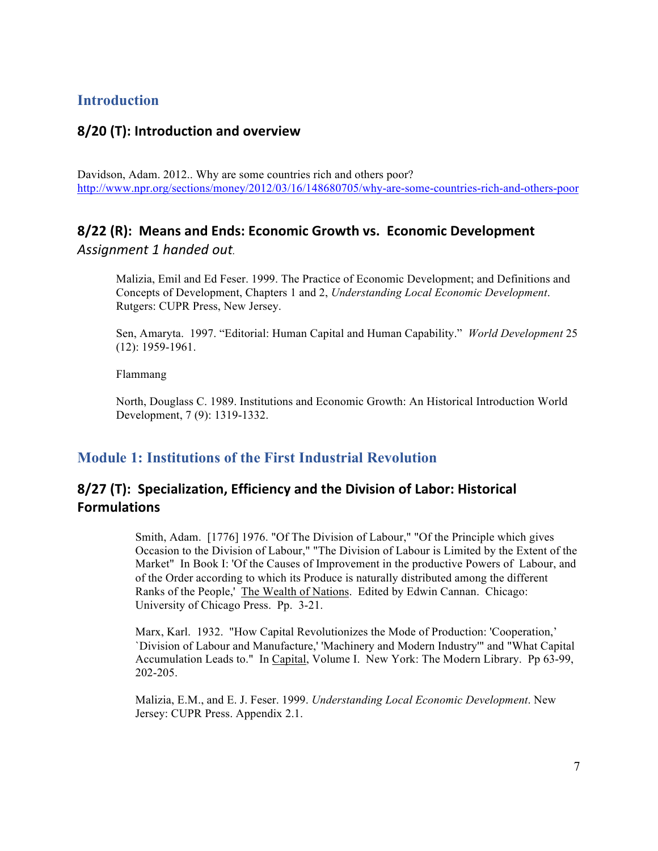# **Introduction**

## **8/20 (T): Introduction and overview**

Davidson, Adam. 2012.. Why are some countries rich and others poor? http://www.npr.org/sections/money/2012/03/16/148680705/why-are-some-countries-rich-and-others-poor

# **8/22 (R): Means and Ends: Economic Growth vs. Economic Development** *Assignment 1 handed out.*

Malizia, Emil and Ed Feser. 1999. The Practice of Economic Development; and Definitions and Concepts of Development, Chapters 1 and 2, *Understanding Local Economic Development*. Rutgers: CUPR Press, New Jersey.

Sen, Amaryta. 1997. "Editorial: Human Capital and Human Capability." *World Development* 25 (12): 1959-1961.

Flammang

North, Douglass C. 1989. Institutions and Economic Growth: An Historical Introduction World Development, 7 (9): 1319-1332.

## **Module 1: Institutions of the First Industrial Revolution**

# **8/27 (T): Specialization, Efficiency and the Division of Labor: Historical Formulations**

Smith, Adam. [1776] 1976. "Of The Division of Labour," "Of the Principle which gives Occasion to the Division of Labour," "The Division of Labour is Limited by the Extent of the Market" In Book I: 'Of the Causes of Improvement in the productive Powers of Labour, and of the Order according to which its Produce is naturally distributed among the different Ranks of the People,' The Wealth of Nations. Edited by Edwin Cannan. Chicago: University of Chicago Press. Pp. 3-21.

Marx, Karl. 1932. "How Capital Revolutionizes the Mode of Production: 'Cooperation,' `Division of Labour and Manufacture,' 'Machinery and Modern Industry'" and "What Capital Accumulation Leads to." In Capital, Volume I. New York: The Modern Library. Pp 63-99, 202-205.

Malizia, E.M., and E. J. Feser. 1999. *Understanding Local Economic Development*. New Jersey: CUPR Press. Appendix 2.1.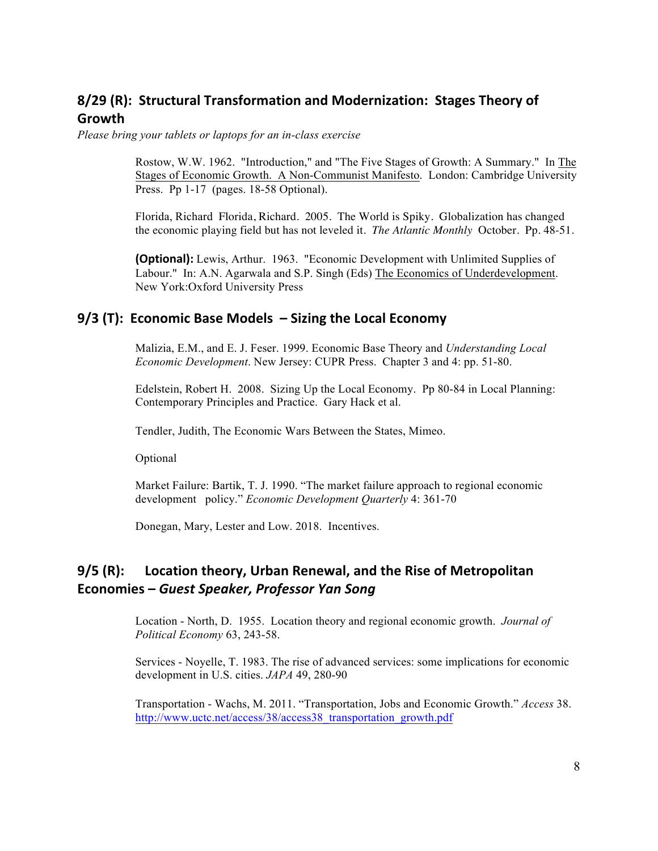# **8/29 (R): Structural Transformation and Modernization: Stages Theory of Growth**

*Please bring your tablets or laptops for an in-class exercise*

Rostow, W.W. 1962. "Introduction," and "The Five Stages of Growth: A Summary." In The Stages of Economic Growth. A Non-Communist Manifesto. London: Cambridge University Press. Pp 1-17 (pages. 18-58 Optional).

Florida, Richard Florida, Richard. 2005. The World is Spiky. Globalization has changed the economic playing field but has not leveled it. *The Atlantic Monthly* October. Pp. 48-51.

**(Optional):** Lewis, Arthur. 1963. "Economic Development with Unlimited Supplies of Labour." In: A.N. Agarwala and S.P. Singh (Eds) The Economics of Underdevelopment. New York:Oxford University Press

### **9/3 (T): Economic Base Models – Sizing the Local Economy**

Malizia, E.M., and E. J. Feser. 1999. Economic Base Theory and *Understanding Local Economic Development*. New Jersey: CUPR Press. Chapter 3 and 4: pp. 51-80.

Edelstein, Robert H. 2008. Sizing Up the Local Economy. Pp 80-84 in Local Planning: Contemporary Principles and Practice. Gary Hack et al.

Tendler, Judith, The Economic Wars Between the States, Mimeo.

Optional

Market Failure: Bartik, T. J. 1990. "The market failure approach to regional economic development policy." *Economic Development Quarterly* 4: 361-70

Donegan, Mary, Lester and Low. 2018. Incentives.

# **9/5 (R):** Location theory, Urban Renewal, and the Rise of Metropolitan **Economies –** *Guest Speaker, Professor Yan Song*

Location - North, D. 1955. Location theory and regional economic growth. *Journal of Political Economy* 63, 243-58.

Services - Noyelle, T. 1983. The rise of advanced services: some implications for economic development in U.S. cities. *JAPA* 49, 280-90

Transportation - Wachs, M. 2011. "Transportation, Jobs and Economic Growth." *Access* 38. http://www.uctc.net/access/38/access38\_transportation\_growth.pdf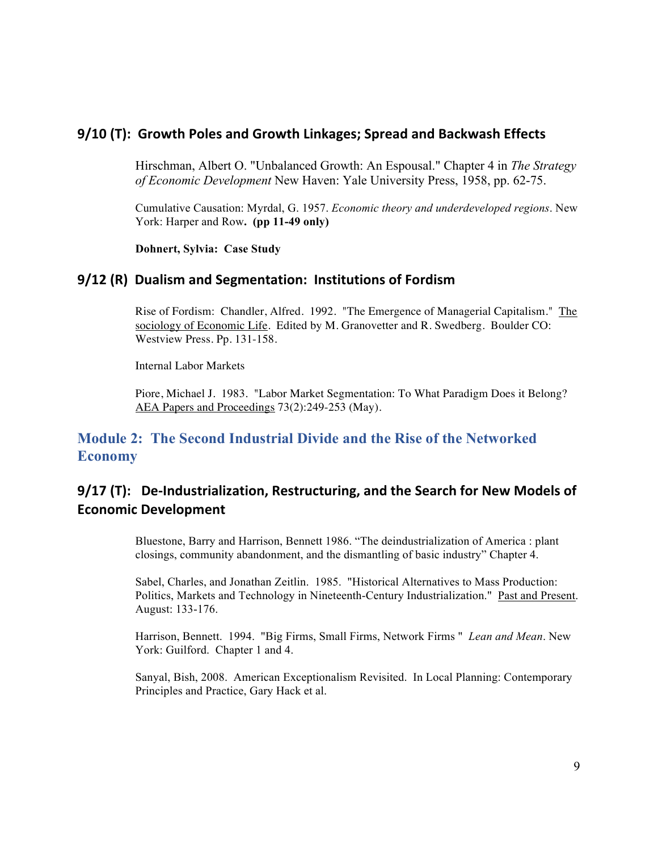## **9/10 (T): Growth Poles and Growth Linkages; Spread and Backwash Effects**

Hirschman, Albert O. "Unbalanced Growth: An Espousal." Chapter 4 in *The Strategy of Economic Development* New Haven: Yale University Press, 1958, pp. 62-75.

Cumulative Causation: Myrdal, G. 1957. *Economic theory and underdeveloped regions*. New York: Harper and Row**. (pp 11-49 only)**

**Dohnert, Sylvia: Case Study**

### **9/12 (R) Dualism and Segmentation: Institutions of Fordism**

Rise of Fordism: Chandler, Alfred. 1992. "The Emergence of Managerial Capitalism." The sociology of Economic Life. Edited by M. Granovetter and R. Swedberg. Boulder CO: Westview Press. Pp. 131-158.

Internal Labor Markets

Piore, Michael J. 1983. "Labor Market Segmentation: To What Paradigm Does it Belong? AEA Papers and Proceedings 73(2):249-253 (May).

# **Module 2: The Second Industrial Divide and the Rise of the Networked Economy**

# **9/17 (T):** De-Industrialization, Restructuring, and the Search for New Models of **Economic Development**

Bluestone, Barry and Harrison, Bennett 1986. "The deindustrialization of America : plant closings, community abandonment, and the dismantling of basic industry" Chapter 4.

Sabel, Charles, and Jonathan Zeitlin. 1985. "Historical Alternatives to Mass Production: Politics, Markets and Technology in Nineteenth-Century Industrialization." Past and Present. August: 133-176.

Harrison, Bennett. 1994. "Big Firms, Small Firms, Network Firms " *Lean and Mean*. New York: Guilford. Chapter 1 and 4.

Sanyal, Bish, 2008. American Exceptionalism Revisited. In Local Planning: Contemporary Principles and Practice, Gary Hack et al.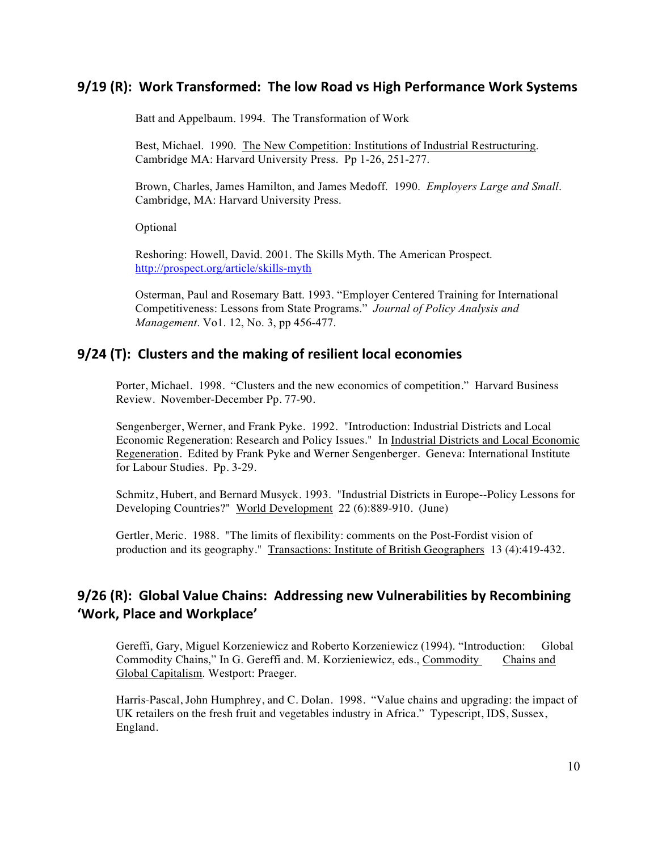## **9/19 (R): Work Transformed: The low Road vs High Performance Work Systems**

Batt and Appelbaum. 1994. The Transformation of Work

Best, Michael. 1990. The New Competition: Institutions of Industrial Restructuring. Cambridge MA: Harvard University Press. Pp 1-26, 251-277.

Brown, Charles, James Hamilton, and James Medoff. 1990. *Employers Large and Small*. Cambridge, MA: Harvard University Press.

Optional

Reshoring: Howell, David. 2001. The Skills Myth. The American Prospect. http://prospect.org/article/skills-myth

Osterman, Paul and Rosemary Batt. 1993. "Employer Centered Training for International Competitiveness: Lessons from State Programs." *Journal of Policy Analysis and Management*. Vo1. 12, No. 3, pp 456-477.

### **9/24 (T): Clusters and the making of resilient local economies**

Porter, Michael. 1998. "Clusters and the new economics of competition." Harvard Business Review. November-December Pp. 77-90.

Sengenberger, Werner, and Frank Pyke. 1992. "Introduction: Industrial Districts and Local Economic Regeneration: Research and Policy Issues." In Industrial Districts and Local Economic Regeneration. Edited by Frank Pyke and Werner Sengenberger. Geneva: International Institute for Labour Studies. Pp. 3-29.

Schmitz, Hubert, and Bernard Musyck. 1993. "Industrial Districts in Europe--Policy Lessons for Developing Countries?" World Development 22 (6):889-910. (June)

Gertler, Meric. 1988. "The limits of flexibility: comments on the Post-Fordist vision of production and its geography." Transactions: Institute of British Geographers 13 (4):419-432.

# **9/26 (R): Global Value Chains: Addressing new Vulnerabilities by Recombining 'Work, Place and Workplace'**

Gereffi, Gary, Miguel Korzeniewicz and Roberto Korzeniewicz (1994). "Introduction: Global Commodity Chains," In G. Gereffi and. M. Korzieniewicz, eds., Commodity Chains and Global Capitalism. Westport: Praeger.

Harris-Pascal, John Humphrey, and C. Dolan. 1998. "Value chains and upgrading: the impact of UK retailers on the fresh fruit and vegetables industry in Africa." Typescript, IDS, Sussex, England.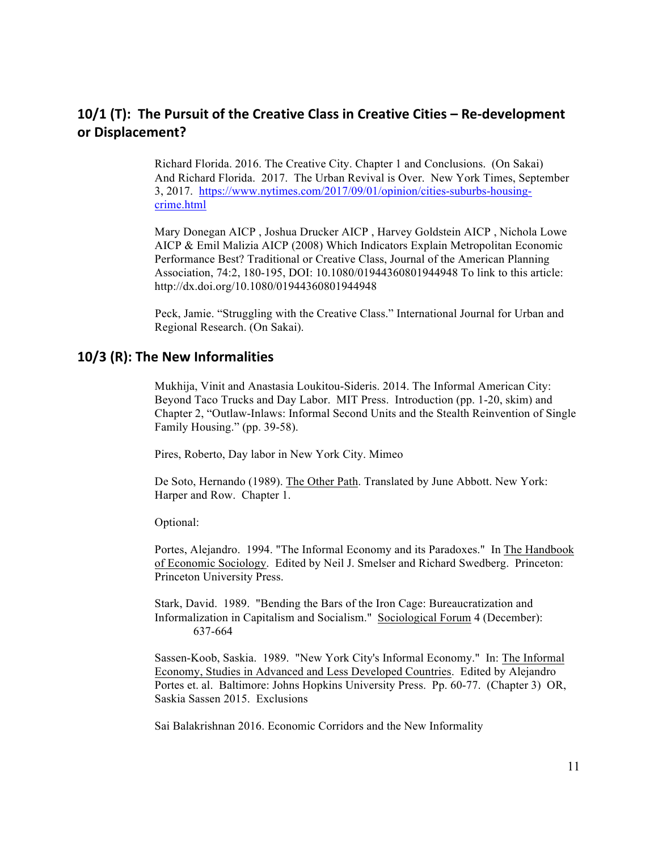# **10/1 (T): The Pursuit of the Creative Class in Creative Cities – Re-development or Displacement?**

Richard Florida. 2016. The Creative City. Chapter 1 and Conclusions. (On Sakai) And Richard Florida. 2017. The Urban Revival is Over. New York Times, September 3, 2017. https://www.nytimes.com/2017/09/01/opinion/cities-suburbs-housingcrime.html

Mary Donegan AICP , Joshua Drucker AICP , Harvey Goldstein AICP , Nichola Lowe AICP & Emil Malizia AICP (2008) Which Indicators Explain Metropolitan Economic Performance Best? Traditional or Creative Class, Journal of the American Planning Association, 74:2, 180-195, DOI: 10.1080/01944360801944948 To link to this article: http://dx.doi.org/10.1080/01944360801944948

 Peck, Jamie. "Struggling with the Creative Class." International Journal for Urban and Regional Research. (On Sakai).

### **10/3 (R): The New Informalities**

Mukhija, Vinit and Anastasia Loukitou-Sideris. 2014. The Informal American City: Beyond Taco Trucks and Day Labor. MIT Press. Introduction (pp. 1-20, skim) and Chapter 2, "Outlaw-Inlaws: Informal Second Units and the Stealth Reinvention of Single Family Housing." (pp. 39-58).

Pires, Roberto, Day labor in New York City. Mimeo

De Soto, Hernando (1989). The Other Path. Translated by June Abbott. New York: Harper and Row. Chapter 1.

Optional:

Portes, Alejandro. 1994. "The Informal Economy and its Paradoxes." In The Handbook of Economic Sociology. Edited by Neil J. Smelser and Richard Swedberg. Princeton: Princeton University Press.

Stark, David. 1989. "Bending the Bars of the Iron Cage: Bureaucratization and Informalization in Capitalism and Socialism." Sociological Forum 4 (December): 637-664

Sassen-Koob, Saskia. 1989. "New York City's Informal Economy." In: The Informal Economy, Studies in Advanced and Less Developed Countries. Edited by Alejandro Portes et. al. Baltimore: Johns Hopkins University Press. Pp. 60-77. (Chapter 3) OR, Saskia Sassen 2015. Exclusions

Sai Balakrishnan 2016. Economic Corridors and the New Informality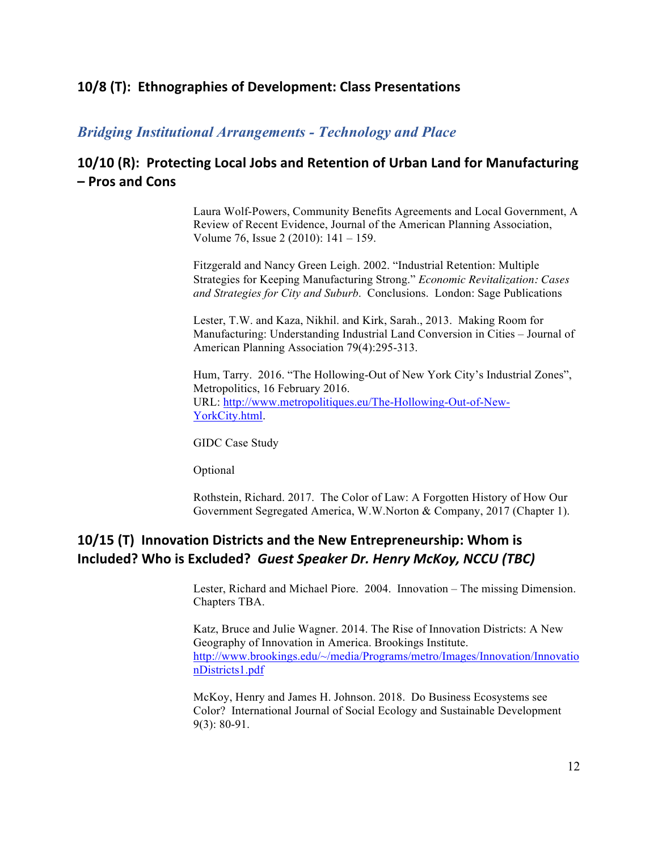# **10/8 (T): Ethnographies of Development: Class Presentations**

## *Bridging Institutional Arrangements - Technology and Place*

# **10/10 (R): Protecting Local Jobs and Retention of Urban Land for Manufacturing – Pros and Cons**

Laura Wolf-Powers, Community Benefits Agreements and Local Government, A Review of Recent Evidence, Journal of the American Planning Association, Volume 76, Issue 2 (2010): 141 – 159.

Fitzgerald and Nancy Green Leigh. 2002. "Industrial Retention: Multiple Strategies for Keeping Manufacturing Strong." *Economic Revitalization: Cases and Strategies for City and Suburb*. Conclusions. London: Sage Publications

Lester, T.W. and Kaza, Nikhil. and Kirk, Sarah., 2013. Making Room for Manufacturing: Understanding Industrial Land Conversion in Cities – Journal of American Planning Association 79(4):295-313.

Hum, Tarry. 2016. "The Hollowing-Out of New York City's Industrial Zones", Metropolitics, 16 February 2016. URL: http://www.metropolitiques.eu/The-Hollowing-Out-of-New-YorkCity.html.

GIDC Case Study

Optional

Rothstein, Richard. 2017. The Color of Law: A Forgotten History of How Our Government Segregated America, W.W.Norton & Company, 2017 (Chapter 1).

# **10/15** (T) Innovation Districts and the New Entrepreneurship: Whom is **Included?** Who is Excluded? Guest Speaker Dr. Henry McKoy, NCCU (TBC)

Lester, Richard and Michael Piore. 2004. Innovation – The missing Dimension. Chapters TBA.

Katz, Bruce and Julie Wagner. 2014. The Rise of Innovation Districts: A New Geography of Innovation in America. Brookings Institute. http://www.brookings.edu/~/media/Programs/metro/Images/Innovation/Innovatio nDistricts1.pdf

McKoy, Henry and James H. Johnson. 2018. Do Business Ecosystems see Color? International Journal of Social Ecology and Sustainable Development 9(3): 80-91.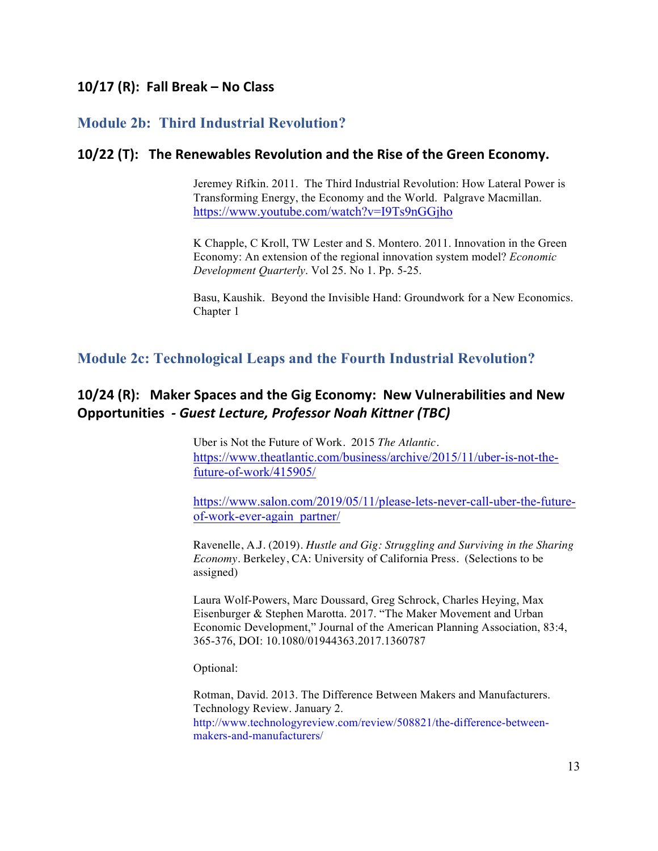# **10/17 (R): Fall Break – No Class**

# **Module 2b: Third Industrial Revolution?**

## **10/22 (T): The Renewables Revolution and the Rise of the Green Economy.**

Jeremey Rifkin. 2011. The Third Industrial Revolution: How Lateral Power is Transforming Energy, the Economy and the World. Palgrave Macmillan. https://www.youtube.com/watch?v=I9Ts9nGGjho

K Chapple, C Kroll, TW Lester and S. Montero. 2011. Innovation in the Green Economy: An extension of the regional innovation system model? *Economic Development Quarterly*. Vol 25. No 1. Pp. 5-25.

Basu, Kaushik. Beyond the Invisible Hand: Groundwork for a New Economics. Chapter 1

## **Module 2c: Technological Leaps and the Fourth Industrial Revolution?**

# **10/24 (R):** Maker Spaces and the Gig Economy: New Vulnerabilities and New **Opportunities** *- Guest Lecture, Professor Noah Kittner (TBC)*

Uber is Not the Future of Work. 2015 *The Atlantic.*  https://www.theatlantic.com/business/archive/2015/11/uber-is-not-thefuture-of-work/415905/

https://www.salon.com/2019/05/11/please-lets-never-call-uber-the-futureof-work-ever-again\_partner/

Ravenelle, A.J. (2019). *Hustle and Gig: Struggling and Surviving in the Sharing Economy*. Berkeley, CA: University of California Press. (Selections to be assigned)

Laura Wolf-Powers, Marc Doussard, Greg Schrock, Charles Heying, Max Eisenburger & Stephen Marotta. 2017. "The Maker Movement and Urban Economic Development," Journal of the American Planning Association, 83:4, 365-376, DOI: 10.1080/01944363.2017.1360787

Optional:

Rotman, David. 2013. The Difference Between Makers and Manufacturers. Technology Review. January 2. http://www.technologyreview.com/review/508821/the-difference-betweenmakers-and-manufacturers/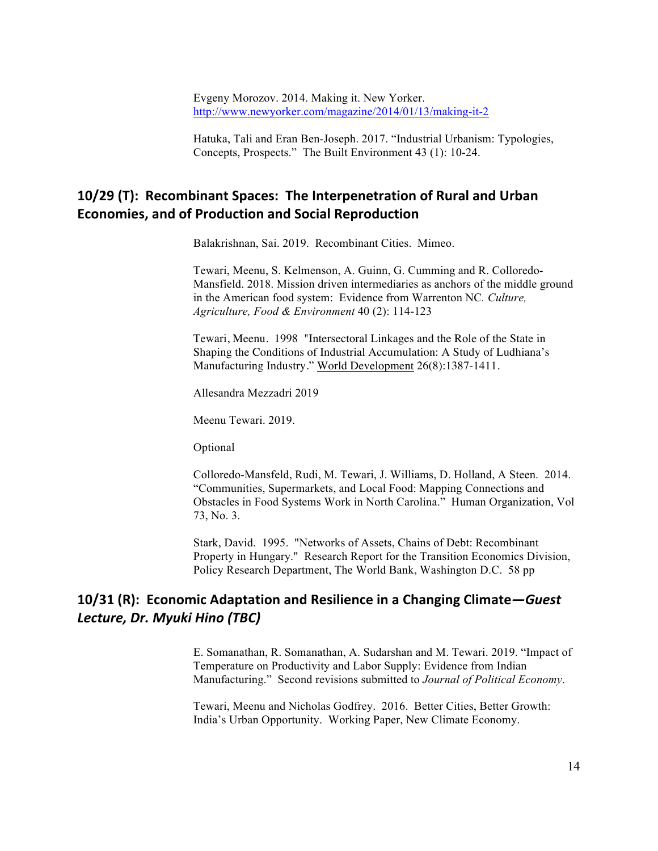Evgeny Morozov. 2014. Making it. New Yorker. http://www.newyorker.com/magazine/2014/01/13/making-it-2

Hatuka, Tali and Eran Ben-Joseph. 2017. "Industrial Urbanism: Typologies, Concepts, Prospects." The Built Environment 43 (1): 10-24.

## **10/29 (T): Recombinant Spaces: The Interpenetration of Rural and Urban Economies, and of Production and Social Reproduction**

Balakrishnan, Sai. 2019. Recombinant Cities. Mimeo.

Tewari, Meenu, S. Kelmenson, A. Guinn, G. Cumming and R. Colloredo-Mansfield. 2018. Mission driven intermediaries as anchors of the middle ground in the American food system: Evidence from Warrenton NC*. Culture, Agriculture, Food & Environment* 40 (2): 114-123

Tewari, Meenu. 1998 "Intersectoral Linkages and the Role of the State in Shaping the Conditions of Industrial Accumulation: A Study of Ludhiana's Manufacturing Industry." World Development 26(8):1387-1411.

Allesandra Mezzadri 2019

Meenu Tewari. 2019.

Optional

Colloredo-Mansfeld, Rudi, M. Tewari, J. Williams, D. Holland, A Steen. 2014. "Communities, Supermarkets, and Local Food: Mapping Connections and Obstacles in Food Systems Work in North Carolina." Human Organization, Vol 73, No. 3.

Stark, David. 1995. "Networks of Assets, Chains of Debt: Recombinant Property in Hungary." Research Report for the Transition Economics Division, Policy Research Department, The World Bank, Washington D.C. 58 pp

## **10/31 (R): Economic Adaptation and Resilience in a Changing Climate**—Guest *Lecture, Dr. Myuki Hino (TBC)*

E. Somanathan, R. Somanathan, A. Sudarshan and M. Tewari. 2019. "Impact of Temperature on Productivity and Labor Supply: Evidence from Indian Manufacturing." Second revisions submitted to *Journal of Political Economy*.

Tewari, Meenu and Nicholas Godfrey. 2016. Better Cities, Better Growth: India's Urban Opportunity. Working Paper, New Climate Economy.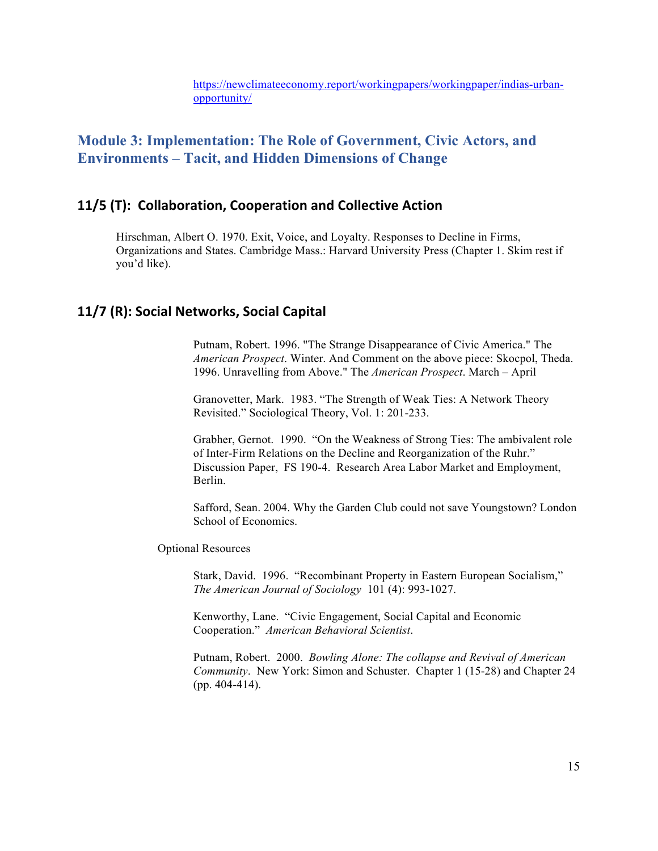# **Module 3: Implementation: The Role of Government, Civic Actors, and Environments – Tacit, and Hidden Dimensions of Change**

## **11/5 (T): Collaboration, Cooperation and Collective Action**

Hirschman, Albert O. 1970. Exit, Voice, and Loyalty. Responses to Decline in Firms, Organizations and States. Cambridge Mass.: Harvard University Press (Chapter 1. Skim rest if you'd like).

## **11/7 (R): Social Networks, Social Capital**

Putnam, Robert. 1996. "The Strange Disappearance of Civic America." The *American Prospect*. Winter. And Comment on the above piece: Skocpol, Theda. 1996. Unravelling from Above." The *American Prospect*. March – April

Granovetter, Mark. 1983. "The Strength of Weak Ties: A Network Theory Revisited." Sociological Theory, Vol. 1: 201-233.

Grabher, Gernot. 1990. "On the Weakness of Strong Ties: The ambivalent role of Inter-Firm Relations on the Decline and Reorganization of the Ruhr." Discussion Paper, FS 190-4. Research Area Labor Market and Employment, Berlin.

Safford, Sean. 2004. Why the Garden Club could not save Youngstown? London School of Economics.

Optional Resources

Stark, David. 1996. "Recombinant Property in Eastern European Socialism," *The American Journal of Sociology* 101 (4): 993-1027.

Kenworthy, Lane. "Civic Engagement, Social Capital and Economic Cooperation." *American Behavioral Scientist*.

Putnam, Robert. 2000. *Bowling Alone: The collapse and Revival of American Community*. New York: Simon and Schuster. Chapter 1 (15-28) and Chapter 24 (pp. 404-414).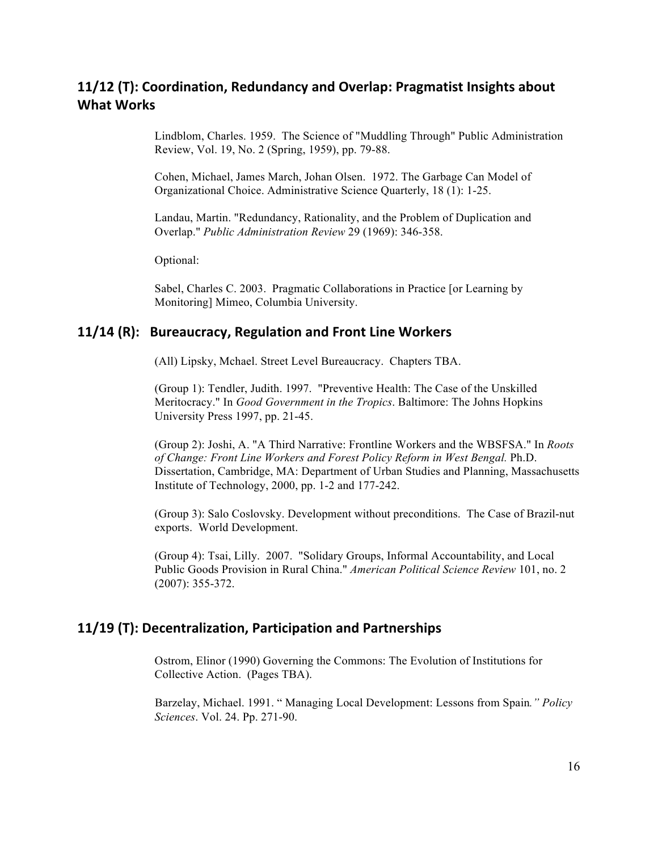# **11/12** (T): Coordination, Redundancy and Overlap: Pragmatist Insights about **What Works**

Lindblom, Charles. 1959. The Science of "Muddling Through" Public Administration Review, Vol. 19, No. 2 (Spring, 1959), pp. 79-88.

Cohen, Michael, James March, Johan Olsen. 1972. The Garbage Can Model of Organizational Choice. Administrative Science Quarterly, 18 (1): 1-25.

Landau, Martin. "Redundancy, Rationality, and the Problem of Duplication and Overlap." *Public Administration Review* 29 (1969): 346-358.

Optional:

Sabel, Charles C. 2003. Pragmatic Collaborations in Practice [or Learning by Monitoring] Mimeo, Columbia University.

## **11/14 (R): Bureaucracy, Regulation and Front Line Workers**

(All) Lipsky, Mchael. Street Level Bureaucracy. Chapters TBA.

(Group 1): Tendler, Judith. 1997. "Preventive Health: The Case of the Unskilled Meritocracy." In *Good Government in the Tropics*. Baltimore: The Johns Hopkins University Press 1997, pp. 21-45.

(Group 2): Joshi, A. "A Third Narrative: Frontline Workers and the WBSFSA." In *Roots of Change: Front Line Workers and Forest Policy Reform in West Bengal.* Ph.D. Dissertation, Cambridge, MA: Department of Urban Studies and Planning, Massachusetts Institute of Technology, 2000, pp. 1-2 and 177-242.

(Group 3): Salo Coslovsky. Development without preconditions. The Case of Brazil-nut exports. World Development.

(Group 4): Tsai, Lilly. 2007. "Solidary Groups, Informal Accountability, and Local Public Goods Provision in Rural China." *American Political Science Review* 101, no. 2 (2007): 355-372.

### **11/19** (T): Decentralization, Participation and Partnerships

Ostrom, Elinor (1990) Governing the Commons: The Evolution of Institutions for Collective Action. (Pages TBA).

 Barzelay, Michael. 1991. " Managing Local Development: Lessons from Spain*." Policy Sciences*. Vol. 24. Pp. 271-90.